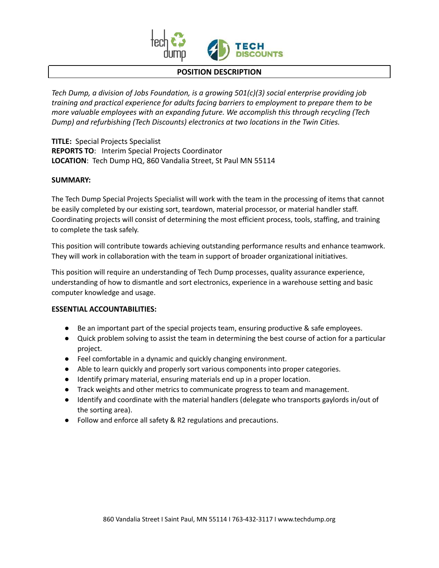

#### **POSITION DESCRIPTION**

*Tech Dump, a division of Jobs Foundation, is a growing 501(c)(3) social enterprise providing job training and practical experience for adults facing barriers to employment to prepare them to be more valuable employees with an expanding future. We accomplish this through recycling (Tech Dump) and refurbishing (Tech Discounts) electronics at two locations in the Twin Cities.*

**TITLE:** Special Projects Specialist **REPORTS TO**: Interim Special Projects Coordinator **LOCATION**: Tech Dump HQ, 860 Vandalia Street, St Paul MN 55114

#### **SUMMARY:**

The Tech Dump Special Projects Specialist will work with the team in the processing of items that cannot be easily completed by our existing sort, teardown, material processor, or material handler staff. Coordinating projects will consist of determining the most efficient process, tools, staffing, and training to complete the task safely.

This position will contribute towards achieving outstanding performance results and enhance teamwork. They will work in collaboration with the team in support of broader organizational initiatives.

This position will require an understanding of Tech Dump processes, quality assurance experience, understanding of how to dismantle and sort electronics, experience in a warehouse setting and basic computer knowledge and usage.

## **ESSENTIAL ACCOUNTABILITIES:**

- Be an important part of the special projects team, ensuring productive & safe employees.
- Quick problem solving to assist the team in determining the best course of action for a particular project.
- Feel comfortable in a dynamic and quickly changing environment.
- Able to learn quickly and properly sort various components into proper categories.
- Identify primary material, ensuring materials end up in a proper location.
- Track weights and other metrics to communicate progress to team and management.
- Identify and coordinate with the material handlers (delegate who transports gaylords in/out of the sorting area).
- Follow and enforce all safety & R2 regulations and precautions.